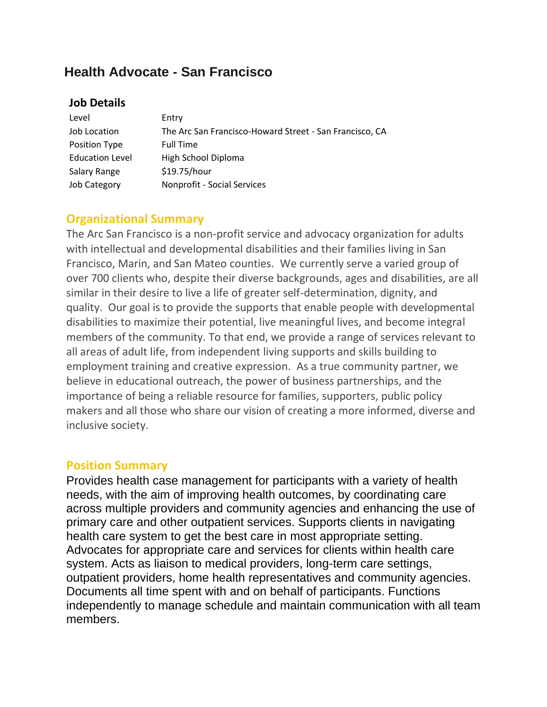# **Health Advocate - San Francisco**

### **Job Details**

| Level                  | Entry                                                   |
|------------------------|---------------------------------------------------------|
| Job Location           | The Arc San Francisco-Howard Street - San Francisco, CA |
| Position Type          | <b>Full Time</b>                                        |
| <b>Education Level</b> | High School Diploma                                     |
| Salary Range           | \$19.75/hour                                            |
| Job Category           | Nonprofit - Social Services                             |

## **Organizational Summary**

The Arc San Francisco is a non-profit service and advocacy organization for adults with intellectual and developmental disabilities and their families living in San Francisco, Marin, and San Mateo counties. We currently serve a varied group of over 700 clients who, despite their diverse backgrounds, ages and disabilities, are all similar in their desire to live a life of greater self-determination, dignity, and quality. Our goal is to provide the supports that enable people with developmental disabilities to maximize their potential, live meaningful lives, and become integral members of the community. To that end, we provide a range of services relevant to all areas of adult life, from independent living supports and skills building to employment training and creative expression. As a true community partner, we believe in educational outreach, the power of business partnerships, and the importance of being a reliable resource for families, supporters, public policy makers and all those who share our vision of creating a more informed, diverse and inclusive society.

#### **Position Summary**

Provides health case management for participants with a variety of health needs, with the aim of improving health outcomes, by coordinating care across multiple providers and community agencies and enhancing the use of primary care and other outpatient services. Supports clients in navigating health care system to get the best care in most appropriate setting. Advocates for appropriate care and services for clients within health care system. Acts as liaison to medical providers, long-term care settings, outpatient providers, home health representatives and community agencies. Documents all time spent with and on behalf of participants. Functions independently to manage schedule and maintain communication with all team members.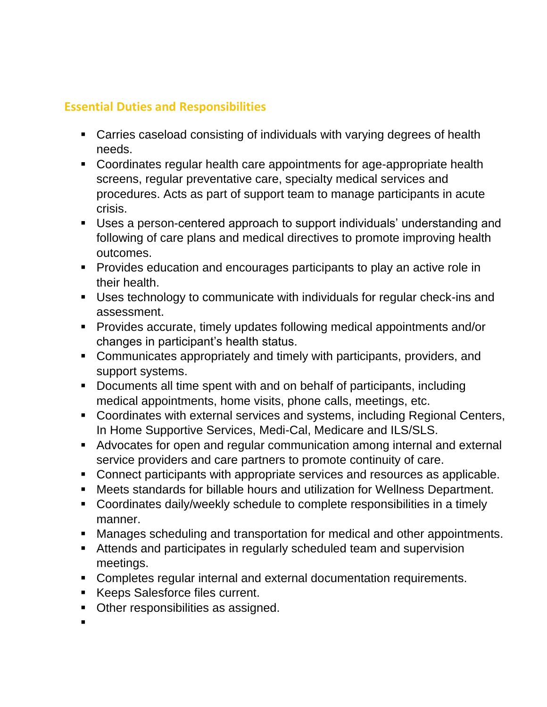# **Essential Duties and Responsibilities**

- Carries caseload consisting of individuals with varying degrees of health needs.
- Coordinates regular health care appointments for age-appropriate health screens, regular preventative care, specialty medical services and procedures. Acts as part of support team to manage participants in acute crisis.
- Uses a person-centered approach to support individuals' understanding and following of care plans and medical directives to promote improving health outcomes.
- Provides education and encourages participants to play an active role in their health.
- Uses technology to communicate with individuals for regular check-ins and assessment.
- Provides accurate, timely updates following medical appointments and/or changes in participant's health status.
- Communicates appropriately and timely with participants, providers, and support systems.
- Documents all time spent with and on behalf of participants, including medical appointments, home visits, phone calls, meetings, etc.
- Coordinates with external services and systems, including Regional Centers, In Home Supportive Services, Medi-Cal, Medicare and ILS/SLS.
- Advocates for open and regular communication among internal and external service providers and care partners to promote continuity of care.
- Connect participants with appropriate services and resources as applicable.
- Meets standards for billable hours and utilization for Wellness Department.
- Coordinates daily/weekly schedule to complete responsibilities in a timely manner.
- Manages scheduling and transportation for medical and other appointments.
- Attends and participates in regularly scheduled team and supervision meetings.
- Completes regular internal and external documentation requirements.
- Keeps Salesforce files current.
- Other responsibilities as assigned.
- ▪